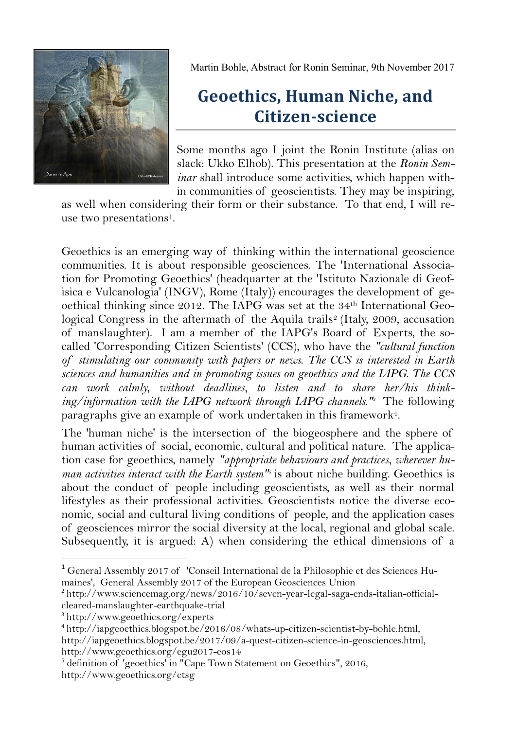

Martin Bohle, Abstract for Ronin Seminar, 9th November 2017

## **Geoethics, Human Niche, and Citizen-science**

Some months ago I joint the Ronin Institute (alias on slack: Ukko Elhob). This presentation at the *Ronin Seminar* shall introduce some activities, which happen within communities of geoscientists. They may be inspiring,

as well when considering their form or their substance. To that end, I will reuse two presentations<sup>1</sup>.

Geoethics is an emerging way of thinking within the international geoscience communities. It is about responsible geosciences. The 'International Association for Promoting Geoethics' (headquarter at the 'Istituto Nazionale di Geofisica e Vulcanologia' (INGV), Rome (Italy)) encourages the development of geoethical thinking since 2012. The IAPG was set at the 34th International Geological Congress in the aftermath of the Aquila trails<sup>2</sup> (Italy, 2009, accusation of manslaughter). I am a member of the IAPG's Board of Experts, the socalled 'Corresponding Citizen Scientists' (CCS), who have the *"cultural function of stimulating our community with papers or news. The CCS is interested in Earth sciences and humanities and in promoting issues on geoethics and the IAPG. The CCS can work calmly, without deadlines, to listen and to share her/his thinking/information with the IAPG network through IAPG channels."<sup>3</sup>* The following paragraphs give an example of work undertaken in this framework $^\mathfrak{a}.$ 

The 'human niche' is the intersection of the biogeosphere and the sphere of human activities of social, economic, cultural and political nature. The application case for geoethics, namely *"appropriate behaviours and practices, wherever human activities interact with the Earth system<sup>"</sup>* is about niche building. Geoethics is about the conduct of people including geoscientists, as well as their normal lifestyles as their professional activities. Geoscientists notice the diverse economic, social and cultural living conditions of people, and the application cases of geosciences mirror the social diversity at the local, regional and global scale. Subsequently, it is argued: A) when considering the ethical dimensions of a

 $\overline{a}$ 

<sup>&</sup>lt;sup>1</sup> General Assembly 2017 of 'Conseil International de la Philosophie et des Sciences Humaines', General Assembly 2017 of the European Geosciences Union

<sup>&</sup>lt;sup>2</sup> http://www.sciencemag.org/news/2016/10/seven-year-legal-saga-ends-italian-officialcleared-manslaughter-earthquake-trial

<sup>3</sup> <http://www.geoethics.org/experts>

<sup>4</sup> http://iapgeoethics.blogspot.be/2016/08/whats-up-citizen-scientist-by-bohle.html,

http://iapgeoethics.blogspot.be/2017/09/a-quest-citizen-science-in-geosciences.html, http://www.geoethics.org/egu2017-eos14

<sup>5</sup> definition of 'geoethics' in "Cape Town Statement on Geoethics", 2016, http://www.geoethics.org/ctsg